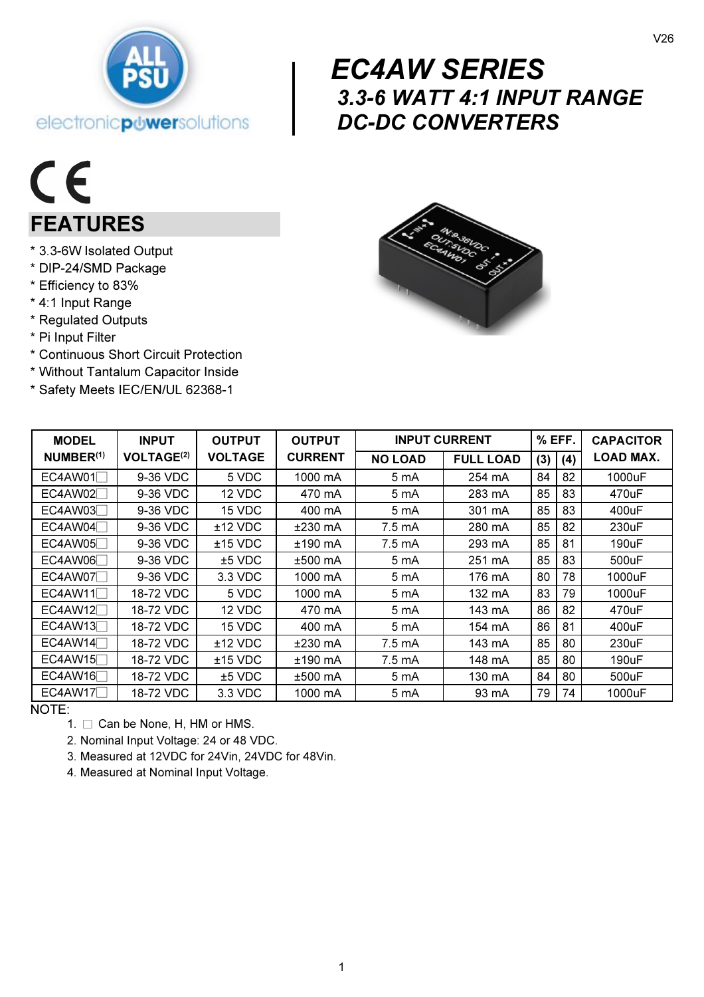

# $\begin{array}{c} \begin{array}{c} E^{(1)} \\ 3. \end{array} \\ \begin{array}{c} \text{D}^{(2)} \\ \end{array} \end{array}$  EC4AW SERIES  *3.3-6 WATT 4:1 INPUT RANGE DC-DC CONVERTERS*

# $C\in$ FEATURES

- \* 3.3-6W Isolated Output
- \* DIP-24/SMD Package
- \* Efficiency to 83%
- \* 4:1 Input Range
- \* Regulated Outputs
- \* Pi Input Filter
- \* Continuous Short Circuit Protection

electronicpuwersolutions

- \* Without Tantalum Capacitor Inside
- \* Safety Meets IEC/EN/UL 62368-1



| <b>MODEL</b>          | <b>INPUT</b>                 | <b>OUTPUT</b>  | <b>OUTPUT</b>  | <b>INPUT CURRENT</b> |                  | % EFF. |     | <b>CAPACITOR</b> |
|-----------------------|------------------------------|----------------|----------------|----------------------|------------------|--------|-----|------------------|
| NUMBER <sup>(1)</sup> | <b>VOLTAGE<sup>(2)</sup></b> | <b>VOLTAGE</b> | <b>CURRENT</b> | <b>NO LOAD</b>       | <b>FULL LOAD</b> | (3)    | (4) | <b>LOAD MAX.</b> |
| EC4AW01               | 9-36 VDC                     | 5 VDC          | 1000 mA        | 5 mA                 | 254 mA           | 84     | 82  | 1000uF           |
| EC4AW02               | 9-36 VDC                     | 12 VDC         | 470 mA         | 5 mA                 | 283 mA           | 85     | 83  | 470uF            |
| EC4AW03               | 9-36 VDC                     | 15 VDC         | 400 mA         | 5 mA                 | 301 mA           | 85     | 83  | 400uF            |
| EC4AW04               | 9-36 VDC                     | $±12$ VDC      | $±230$ mA      | 7.5 mA               | 280 mA           | 85     | 82  | 230uF            |
| EC4AW05               | 9-36 VDC                     | $±15$ VDC      | ±190 mA        | 7.5 mA               | 293 mA           | 85     | 81  | 190uF            |
| EC4AW06               | 9-36 VDC                     | $±5$ VDC       | $±500$ mA      | 5 mA                 | 251 mA           | 85     | 83  | 500uF            |
| EC4AW07               | 9-36 VDC                     | 3.3 VDC        | 1000 mA        | 5 mA                 | 176 mA           | 80     | 78  | 1000uF           |
| EC4AW11               | 18-72 VDC                    | 5 VDC          | 1000 mA        | 5 mA                 | 132 mA           | 83     | 79  | 1000uF           |
| EC4AW12               | 18-72 VDC                    | 12 VDC         | 470 mA         | 5 mA                 | 143 mA           | 86     | 82  | 470uF            |
| EC4AW13               | 18-72 VDC                    | 15 VDC         | 400 mA         | 5 mA                 | 154 mA           | 86     | 81  | 400uF            |
| EC4AW14               | 18-72 VDC                    | $±12$ VDC      | $±230$ mA      | 7.5 mA               | 143 mA           | 85     | 80  | 230uF            |
| EC4AW15               | 18-72 VDC                    | $±15$ VDC      | ±190 mA        | 7.5 mA               | 148 mA           | 85     | 80  | 190uF            |
| EC4AW16               | 18-72 VDC                    | $±5$ VDC       | ±500 mA        | 5 mA                 | 130 mA           | 84     | 80  | 500uF            |
| EC4AW17               | 18-72 VDC                    | 3.3 VDC        | 1000 mA        | 5 mA                 | 93 mA            | 79     | 74  | 1000uF           |

NOTE:

- 1.  $\Box$  Can be None, H, HM or HMS.
- 2. Nominal Input Voltage: 24 or 48 VDC.
- 3. Measured at 12VDC for 24Vin, 24VDC for 48Vin.
- 4. Measured at Nominal Input Voltage.